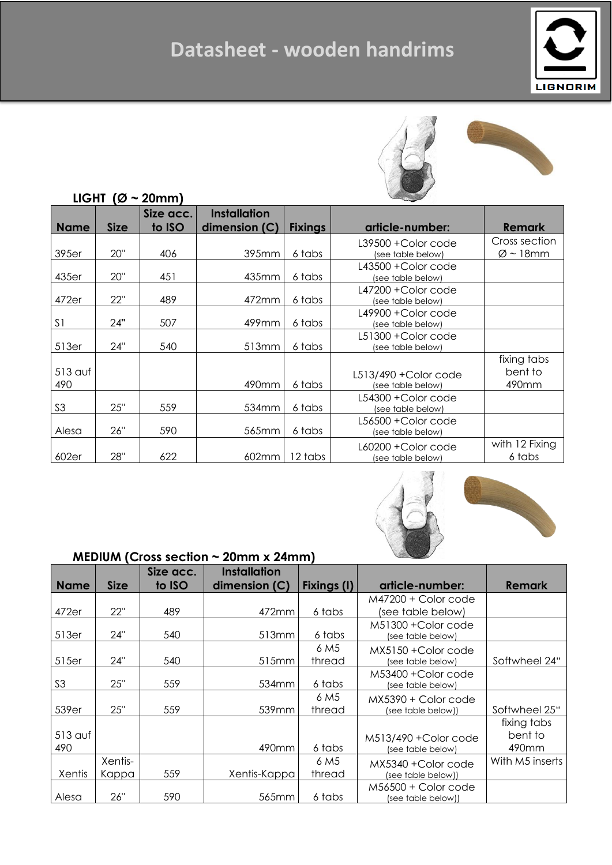## **Datasheet - wooden handrims**





### **LIGHT (Ø ~ 20mm) Size acc.**

|                |             | Size acc. | <b>Installation</b> |                |                                          |                          |
|----------------|-------------|-----------|---------------------|----------------|------------------------------------------|--------------------------|
| <b>Name</b>    | <b>Size</b> | to ISO    | dimension (C)       | <b>Fixings</b> | article-number:                          | <b>Remark</b>            |
|                |             |           |                     |                | L39500 + Color code                      | Cross section            |
| 395er          | 20"         | 406       | 395mm               | 6 tabs         | (see table below)                        | $\varnothing$ ~ 18mm     |
| 435er          | 20"         | 451       | 435mm               | 6 tabs         | L43500 + Color code<br>(see table below) |                          |
| 472er          | 22"         | 489       | 472mm               | 6 tabs         | L47200 + Color code<br>(see table below) |                          |
| S <sub>1</sub> | 24"         | 507       | 499mm               | 6 tabs         | L49900 + Color code<br>(see table below) |                          |
| 513er          | 24"         | 540       | 513mm               | 6 tabs         | L51300 + Color code<br>(see table below) |                          |
|                |             |           |                     |                |                                          | fixing tabs              |
| $513$ auf      |             |           |                     |                | L513/490 + Color code                    | bent to                  |
| 490            |             |           | 490mm               | 6 tabs         | (see table below)                        | 490mm                    |
| S <sub>3</sub> | 25"         | 559       | 534mm               | 6 tabs         | L54300 + Color code<br>(see table below) |                          |
| Alesa          | 26"         | 590       | 565mm               | 6 tabs         | L56500 + Color code<br>(see table below) |                          |
| 602er          | 28"         | 622       | 602mm               | 12 tabs        | L60200 + Color code<br>(see table below) | with 12 Fixing<br>6 tabs |



#### **MEDIUM (Cross section ~ 20mm x 24mm)**

|                |                  | Size acc. | <b>Installation</b> |                            |                                             |                                 |
|----------------|------------------|-----------|---------------------|----------------------------|---------------------------------------------|---------------------------------|
| <b>Name</b>    | <b>Size</b>      | to ISO    | dimension (C)       | <b>Fixings (I)</b>         | article-number:                             | <b>Remark</b>                   |
|                |                  |           |                     |                            | M47200 + Color code                         |                                 |
| 472er          | 22"              | 489       | 472mm               | 6 tabs                     | (see table below)                           |                                 |
| 513er          | 24"              | 540       | 513mm               | 6 tabs                     | M51300 + Color code<br>(see table below)    |                                 |
| 515er          | 24"              | 540       | 515mm               | 6 M <sub>5</sub><br>thread | MX5150 + Color code<br>(see table below)    | Softwheel 24"                   |
| S3             | 25"              | 559       | 534 <sub>mm</sub>   | 6 tabs                     | M53400 + Color code<br>(see table below)    |                                 |
| 539er          | 25"              | 559       | 539mm               | 6 M <sub>5</sub><br>thread | $MX5390 + Color code$<br>(see table below)) | Softwheel 25"                   |
| 513 auf<br>490 |                  |           | 490mm               | 6 tabs                     | M513/490 + Color code<br>(see table below)  | fixing tabs<br>bent to<br>490mm |
| Xentis         | Xentis-<br>Kappa | 559       | Xentis-Kappa        | 6 M <sub>5</sub><br>thread | MX5340 + Color code<br>(see table below))   | With M5 inserts                 |
| Alesa          | 26"              | 590       | 565mm               | 6 tabs                     | M56500 + Color code<br>(see table below))   |                                 |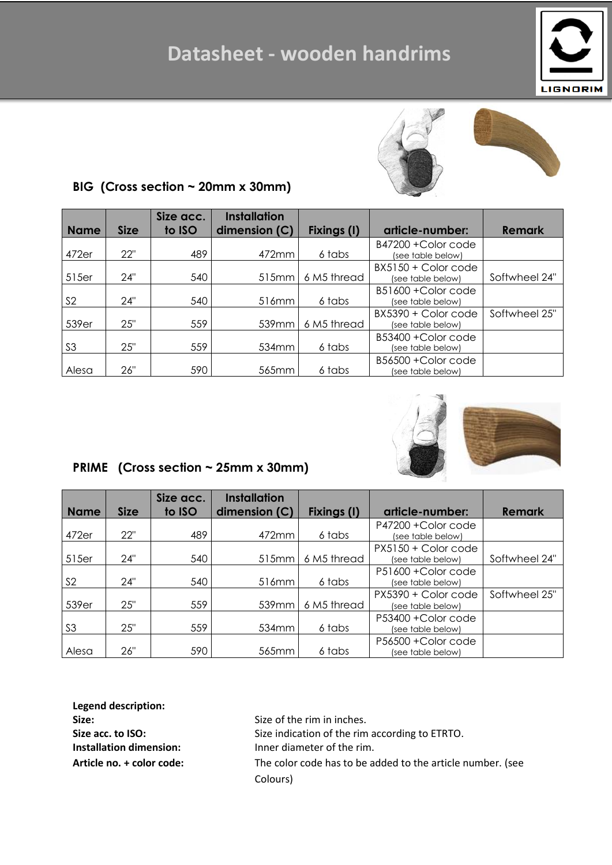### **Datasheet - wooden handrims**





### **BIG (Cross section ~ 20mm x 30mm)**

|                |             | Size acc. | <b>Installation</b> |             |                                            |               |
|----------------|-------------|-----------|---------------------|-------------|--------------------------------------------|---------------|
| <b>Name</b>    | <b>Size</b> | to ISO    | dimension (C)       | Fixings (I) | article-number:                            | <b>Remark</b> |
| 472er          | 22"         | 489       | 472mm               | 6 tabs      | B47200 + Color code<br>(see table below)   |               |
| 515er          | 24"         | 540       | 515mm               | 6 M5 thread | $BX5150 + Color code$<br>(see table below) | Softwheel 24" |
| S <sub>2</sub> | 24"         | 540       | 516mm               | 6 tabs      | B51600 + Color code<br>(see table below)   |               |
| 539er          | 25"         | 559       | 539mm               | 6 M5 thread | BX5390 + Color code<br>(see table below)   | Softwheel 25" |
| S <sub>3</sub> | 25"         | 559       | 534 <sub>mm</sub>   | 6 tabs      | B53400 + Color code<br>(see table below)   |               |
| Alesa          | 26"         | 590       | 565mm               | 6 tabs      | B56500 + Color code<br>(see table below)   |               |



### **PRIME (Cross section ~ 25mm x 30mm)**

|                |             | Size acc. | <b>Installation</b> |             |                                          |               |
|----------------|-------------|-----------|---------------------|-------------|------------------------------------------|---------------|
| <b>Name</b>    | <b>Size</b> | to ISO    | dimension (C)       | Fixings (I) | article-number:                          | <b>Remark</b> |
| 472er          | 22"         | 489       | 472mm               | 6 tabs      | P47200 + Color code<br>(see table below) |               |
| 515er          | 24"         | 540       | 515mm               | 6 M5 thread | PX5150 + Color code<br>(see table below) | Softwheel 24" |
| S <sub>2</sub> | 24"         | 540       | 516mm               | 6 tabs      | P51600 + Color code<br>(see table below) |               |
| 539er          | 25"         | 559       | 539mm               | 6 M5 thread | PX5390 + Color code<br>(see table below) | Softwheel 25" |
| S <sub>3</sub> | 25"         | 559       | 534mm               | 6 tabs      | P53400 + Color code<br>(see table below) |               |
| Alesa          | 26"         | 590       | 565mm               | 6 tabs      | P56500 + Color code<br>(see table below) |               |

**Legend description:**

**Size:** Size: Size of the rim in inches. Size acc. to ISO: Size indication of the rim according to ETRTO. **Installation dimension:** Inner diameter of the rim. **Article no. + color code:** The color code has to be added to the article number. (see Colours)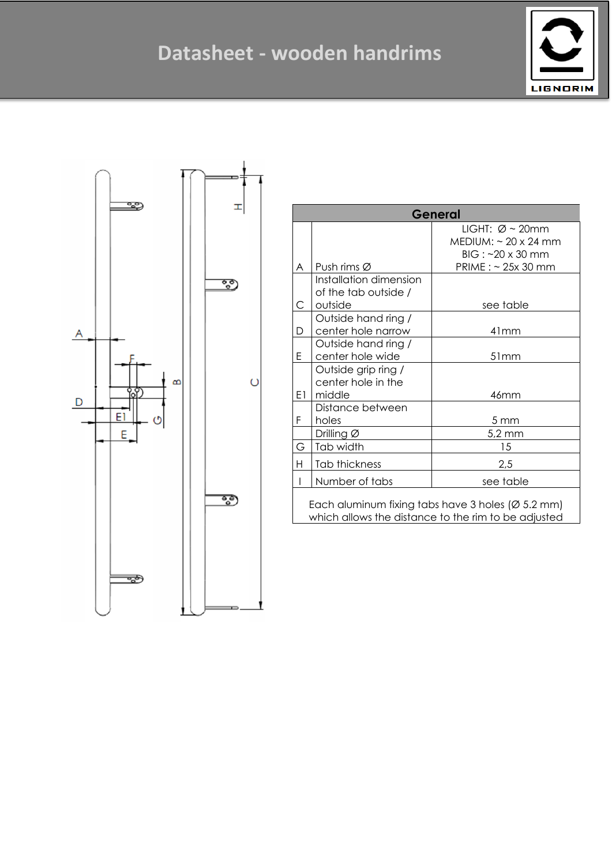



| General                                                                                                               |                             |                             |  |  |  |
|-----------------------------------------------------------------------------------------------------------------------|-----------------------------|-----------------------------|--|--|--|
|                                                                                                                       |                             | LIGHT: $\varnothing$ ~ 20mm |  |  |  |
|                                                                                                                       |                             | $MEDIUM: ~ 20 \times 24$ mm |  |  |  |
|                                                                                                                       |                             | $BIG:~20 \times 30$ mm      |  |  |  |
| A                                                                                                                     | Push rims $\varnothing$     | PRIME : ~ 25x 30 mm         |  |  |  |
|                                                                                                                       | Installation dimension      |                             |  |  |  |
|                                                                                                                       | of the tab outside /        |                             |  |  |  |
| C                                                                                                                     | outside                     | see table                   |  |  |  |
|                                                                                                                       | Outside hand ring /         |                             |  |  |  |
| D                                                                                                                     | center hole narrow          | 41mm                        |  |  |  |
|                                                                                                                       | Outside hand ring /         |                             |  |  |  |
| E                                                                                                                     | center hole wide            | 51mm                        |  |  |  |
|                                                                                                                       | Outside grip ring /         |                             |  |  |  |
|                                                                                                                       | center hole in the          |                             |  |  |  |
| E1                                                                                                                    | middle                      | 46mm                        |  |  |  |
|                                                                                                                       | Distance between            |                             |  |  |  |
| F                                                                                                                     | holes                       | 5 mm                        |  |  |  |
|                                                                                                                       | Drilling Ø                  | $5,2 \text{ mm}$            |  |  |  |
| G                                                                                                                     | Tab width                   | 15                          |  |  |  |
| H                                                                                                                     | Tab thickness               | 2,5                         |  |  |  |
| I                                                                                                                     | Number of tabs<br>see table |                             |  |  |  |
| Each aluminum fixing tabs have 3 holes ( $\varnothing$ 5.2 mm)<br>which allows the distance to the rim to be adjusted |                             |                             |  |  |  |